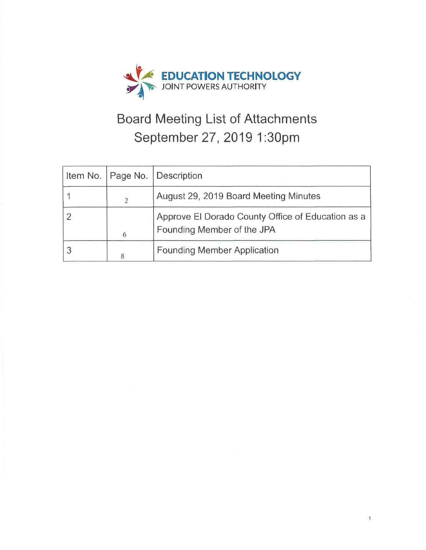

# **Board Meeting List of Attachments September 27, 20191:30pm**

|   | Item No.   Page No.   Description                                               |
|---|---------------------------------------------------------------------------------|
|   | August 29, 2019 Board Meeting Minutes                                           |
| 6 | Approve El Dorado County Office of Education as a<br>Founding Member of the JPA |
|   | <b>Founding Member Application</b>                                              |

 $\mathbf{1}$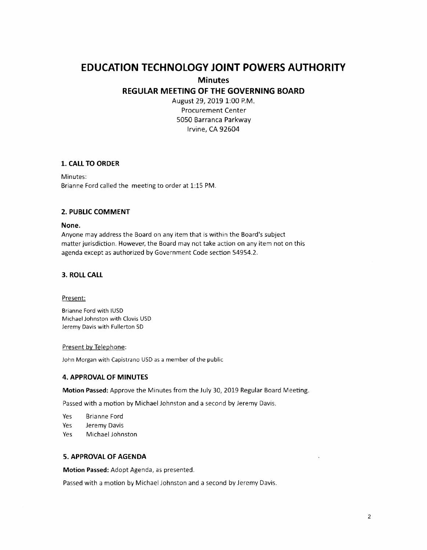## **EDUCATION TECHNOLOGY JOINT POWERS AUTHORITY**

#### **Minutes**

#### **REGULAR MEETING OF THE GOVERNING BOARD**

August 29, 2019 1:00 P.M. Procurement Center 5050 Barranca Parkway Irvine, CA 92604

#### **1. CALL TO ORDER**

Minutes: Brianne Ford called the meeting to order at 1:15 PM.

#### **2. PUBLIC COMMENT**

#### **None.**

Anyone may address the Board on any item that is within the Board's subject matter jurisdiction. However, the Board may not take action on any item not on this agenda except as authorized by Government Code section 54954.2.

#### **3. ROLL CALL**

#### Present:

Brianne Ford with IUSD Michael Johnston with Clovis USD Jeremy Davis with Fullerton SD

#### Present by Telephone:

John Morgan with Capistrano USD as a member of the public

#### **4. APPROVAL OF MINUTES**

**Motion Passed:** Approve the Minutes from the July 30, 2019 Regular Board Meeting.

Passed with a motion by Michael Johnston and a second by Jeremy Davis.

- Yes Brianne Ford
- Yes Jeremy Davis
- Yes Michael Johnston

#### **5. APPROVAL OF AGENDA**

**Motion Passed:** Adopt Agenda, as presented.

Passed with a motion by Michael Johnston and a second by Jeremy Davis.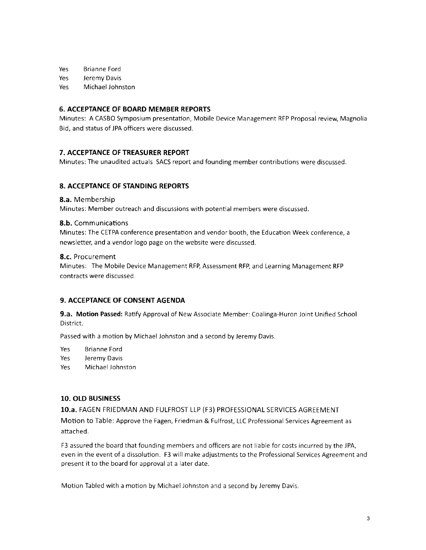Yes Brianne Ford

Yes Jeremy Davis

Yes Michael Johnston

#### **6. ACCEPTANCE OF BOARD MEMBER REPORTS**

Minutes: A CASBO Symposium presentation, Mobile Device Management RFP Proposal review, Magnolia Bid, and status of JPA officers were discussed.

#### **7. ACCEPTANCE OF TREASURER REPORT**

Minutes: The unaudited actuals SACS report and founding member contributions were discussed.

#### **8. ACCEPTANCE OF STANDING REPORTS**

**8.a.** Membership

Minutes: Member outreach and discussions with potential members were discussed.

#### **8.b.** Communications

Minutes: The CETPA conference presentation and vendor booth, the Education Week conference, a newsletter, and a vendor logo page on the website were discussed.

#### **8.c.** Procurement

Minutes: The Mobile Device Management RFP, Assessment RFP, and Learning Management RFP contracts were discussed.

#### **9. ACCEPTANCE OF CONSENT AGENDA**

**9.a. Motion Passed:** Ratify Approval of New Associate Member: Coalinga-Huron Joint Unified School District.

Passed with a motion by Michael Johnston and a second by Jeremy Davis.

Yes Brianne Ford

Yes Jeremy Davis

Yes Michael Johnston

#### **10. OLD BUSINESS**

### **10.a.** FAGEN FRIEDMAN AND FULFROST LLP {F3) PROFESSIONAL SERVICES AGREEMENT

Motion to Table: Approve the Fagen, Friedman & Fulfrost, LLC Professional Services Agreement as attached.

F3 assured the board that founding members and officers are not liable for costs incurred by the JPA, even in the event of a dissolution. F3 will make adjustments to the Professional Services Agreement and present it to the board for approval at a later date.

Motion Tabled with a motion by Michael Johnston and a second by Jeremy Davis.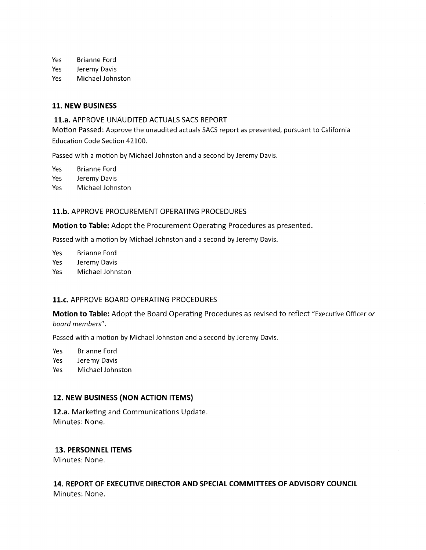Yes Brianne Ford

- Yes Jeremy Davis
- Yes Michael Johnston

#### **11. NEW BUSINESS**

#### **11.a.** APPROVE UNAUDITED ACTUALS SACS REPORT

Motion Passed: Approve the unaudited actuals SACS report as presented, pursuant to California Education Code Section 42100.

Passed with a motion by Michael Johnston and a second by Jeremy Davis.

Yes Brianne Ford

Yes Jeremy Davis

Yes Michael Johnston

#### **11.b.** APPROVE PROCUREMENT OPERATING PROCEDURES

**Motion to Table:** Adopt the Procurement Operating Procedures as presented.

Passed with a motion by Michael Johnston and a second by Jeremy Davis.

Yes Brianne Ford

Yes Jeremy Davis

Yes Michael Johnston

### **11.c.** APPROVE BOARD OPERATING PROCEDURES

**Motion to Table:** Adopt the Board Operating Procedures as revised to reflect "Executive Officer or board members".

Passed with a motion by Michael Johnston and a second by Jeremy Davis.

Yes Brianne Ford

Yes Jeremy Davis

Yes Michael Johnston

### **12. NEW BUSINESS (NON ACTION ITEMS)**

**12.a.** Marketing and Communications Update. Minutes: None.

#### **13. PERSONNEL ITEMS**

Minutes: None.

### **14. REPORT OF EXECUTIVE DIRECTOR AND SPECIAL COMMITTEES OF ADVISORY COUNCIL**  Minutes: None.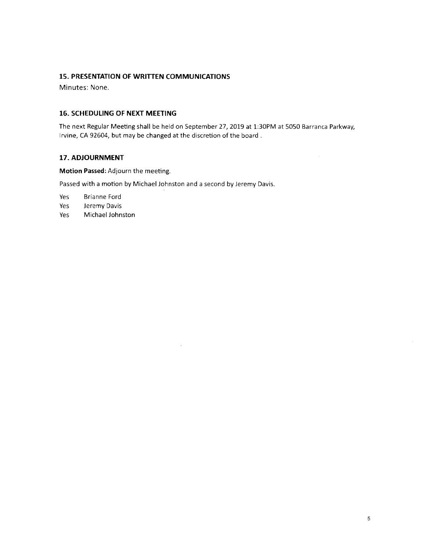#### **15. PRESENTATION OF WRITTEN COMMUNICATIONS**

Minutes: None.

#### **16. SCHEDULING OF NEXT MEETING**

The next Regular Meeting shall be held on September 27, 2019 at 1:30PM at 5050 Barranca Parkway, Irvine, CA 92604, but may be changed at the discretion of the board.

#### **17. ADJOURNMENT**

**Motion Passed:** Adjourn the meeting.

Passed with a motion by Michael Johnston and a second by Jeremy Davis.

 $\mathcal{L}_{\mathcal{A}}$ 

Yes Brianne Ford

Yes Jeremy Davis

Yes Michael Johnston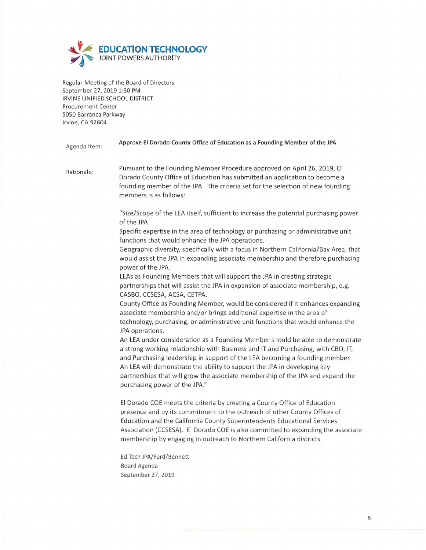

Regular Meeting of the Board of Directors September 27, 2019 1:30 PM IRVINE UNIFIED SCHOOL DISTRICT Procurement Center 5050 Barranca Parkway Irvine, CA 92604

#### Agenda Item: **Approve El Dorado County Office of Education as a Founding Member of the JPA**

Rationale: Pursuant to the Founding Member Procedure approved on April 26, 2019, El Dorado County Office of Education has submitted an application to become a founding member of the JPA. The criteria set for the selection of new founding members is as follows:

> "Size/Scope of the LEA itself, sufficient to increase the potential purchasing power of the JPA.

Specific expertise in the area of technology or purchasing or administrative unit functions that would enhance the JPA operations.

Geographic diversity, specifically with a focus in Northern California/Bay Area, that would assist the JPA in expanding associate membership and therefore purchasing power of the JPA.

LEAs as Founding Members that will support the JPA in creating strategic partnerships that will assist the JPA in expansion of associate membership, e.g. CASBO, CCSESA, ACSA, CETPA.

County Office as Founding Member, would be considered if it enhances expanding associate membership and/or brings additional expertise in the area of technology, purchasing, or administrative unit functions that would enhance the JPA operations.

An LEA under consideration as a Founding Member should be able to demonstrate a strong working relationship with Business and IT and Purchasing, with CBO, IT, and Purchasing leadership in support of the LEA becoming a founding member. An LEA will demonstrate the ability to support the JPA in developing key partnerships that will grow the associate membership of the JPA and expand the purchasing power of the JPA."

El Dorado COE meets the criteria by creating a County Office of Education presence and by its commitment to the outreach of other County Offices of Education and the California County Superintendents Educational Services Association (CCSESA). El Dorado COE is also committed to expanding the associate membership by engaging in outreach to Northern California districts.

Ed Tech JPA/Ford/Bennett Board Agenda September 27, 2019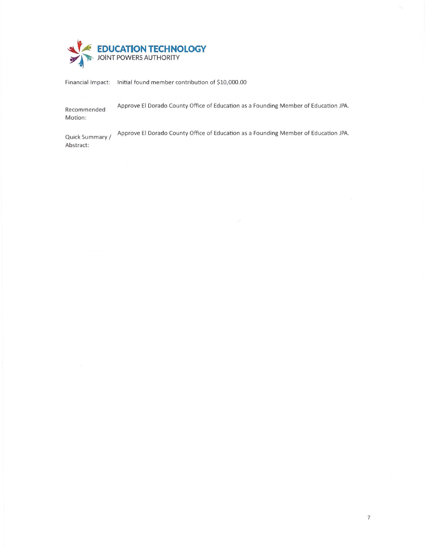

Financial Impact: Initia l found member contribution of \$10,000.00

Recommended Motion: Approve El Dorado County Office of Education as a Founding Member of Education JPA.

Quick Summary/ Abstract: Approve El Dorado County Office of Education as a Founding Member of Education JPA.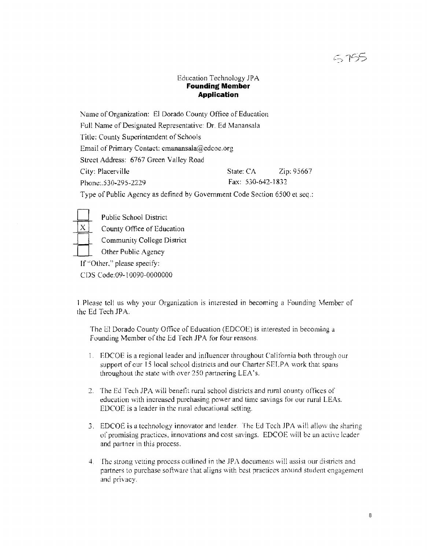## 5755

#### Education Technology JPA **Founding Member Application**

Name of Organization: El Dorado County Office of Education

Full Name of Designated Representative: Dr. Ed Manansala

Title: County Superintendent of Schools

Email of Primary Contact: emanansala@edcoe.org

Street Address: 6767 Green Valley Road

City: Placerville State: CA Zip: 95667 Phone:.530-295-2229 Fax: 530-642-1832

Type of Public Agency as defined by Government Code Section 6500 et seq.:

 $\frac{1}{|X|}$ Public School District

County Office of Education

Community College District

County Office of De<br>
Community College<br>
If "Other," please specify: Other Public Agency

CDS Code:09- l 0090-0000000

1 Please tell us why your Organization is interested in becoming a Founding Member of the Ed Tech JPA.

The El Dorado County Office of Education (EDCOE) is interested in becoming a Founding Member of the Ed Tech JPA for four reasons.

- 1. EDCOE is a regional leader and influencer throughout California both through our support of our 15 local school districts and our Charter SELPA work that spans throughout the state with over 250 partnering LEA's.
- 2. The Ed Tech JPA will benefit rural school districts and rural county offices of education with increased purchasing power and time savings for our rural LEAs. EDCOE is a leader in the rural educational setting.
- 3. EDCOE is u technology innovator and leader. The Ed Tech JPA wilt allow the sharing of promising practices, innovations and cost savings. EDCOE will be an active leader and partner in this process.
- 4. The strong vetting process outlined in the JPA documents will assist our districts and partners to purchase software that aligns with best practices around student engagement and privacy.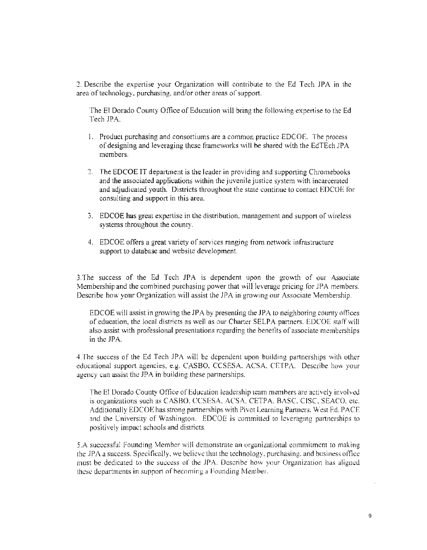2. Describe the expertise your Organization will contribute to the Ed Tech JPA in the area of technology, purchasing, and/or other areas of support.

The El Dorado County Office of Education will bring the following expertise to the Ed Tech JPA.

- 1. Product purchasing and consortiums are a common practice EDCOE. The process of designing and leveraging these frameworks wi II be shared with the EdTEch JPA members.
- 2. The EDCOE IT department is the leader in providing and supporting Chromebooks and the associated applications within the juvenile justice system with incarcerated and adjudicated youth. Districts throughout the state continue lo contact EDCOE for consulting and support in this area.
- 3. EDCOE has great expertise in the distribution. management and support of wireless systems throughout the county.
- 4. EDCOE offers a great variety of services ranging from network infrastructure support to database and website development.

3. The success of the Ed Tech JPA is dependent upon the growth of our Associate Membership and the combined purchasing power that will leverage pricing for JPA members. Describe how your Organization will assist the JPA in growing our Associate Membership.

EDCOE will assist in growing the JPA by presenting the JPA to neighboring county offices of education, the local districts as well as our Charter SELPA partners. EDCOE staff will also assist with professional presentations regarding the benefits of associate memberships in the JPA.

4. The success of the Ed Tech JPA will be dependent upon building partnerships with other educational support agencies, e.g. CASBO. CCSESA. ACSA. CETPA. Describe how your agency can assist the JPA in building these partnerships.

The El Dorado County Office of Education leadership team members are actively involved is organizations such as CASBO. CCSESA. ACSA. CETPA. BASC, CISC, SEACO. etc. Additionally EDCOE has strong partnerships with Pivot Learning Partners. West Ed. PACE and the University of Washington. EDCOE is committed to leveraging partnerships to positively impact schools and districts.

5.A successful Founding Member will demonstrate an organizational commitment to making the  $JPA$  a success. Specifically, we believe that the technology, purchasing, and business office must be dedicated to the success of the JPA. Describe how your Organization has aligned these departments in support of becoming a Founding Member.